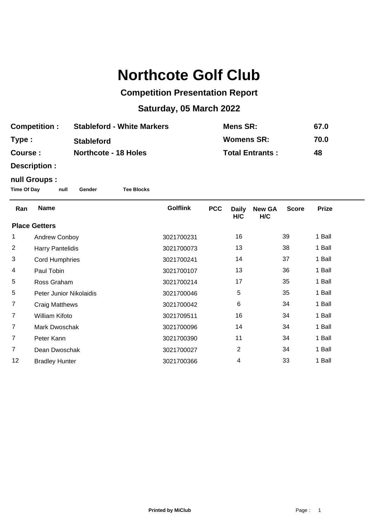## **Northcote Golf Club**

## **Competition Presentation Report**

## **Saturday, 05 March 2022**

| <b>Competition:</b> | <b>Stableford - White Markers</b> | Mens SR:               | 67.0 |
|---------------------|-----------------------------------|------------------------|------|
| Type:               | <b>Stableford</b>                 | <b>Womens SR:</b>      | 70.0 |
| <b>Course :</b>     | <b>Northcote - 18 Holes</b>       | <b>Total Entrants:</b> | 48   |

**Description :**

## **null Groups :**

**Time Of Day null Gender Tee Blocks**

| <b>Name</b>             | <b>Golflink</b> | <b>PCC</b> | <b>Daily</b><br>H/C | <b>New GA</b><br>H/C | <b>Score</b> | <b>Prize</b> |  |
|-------------------------|-----------------|------------|---------------------|----------------------|--------------|--------------|--|
| <b>Place Getters</b>    |                 |            |                     |                      |              |              |  |
| Andrew Conboy           | 3021700231      |            | 16                  |                      | 39           | 1 Ball       |  |
| <b>Harry Pantelidis</b> | 3021700073      |            | 13                  |                      | 38           | 1 Ball       |  |
| <b>Cord Humphries</b>   | 3021700241      |            | 14                  |                      | 37           | 1 Ball       |  |
| Paul Tobin              | 3021700107      |            | 13                  |                      | 36           | 1 Ball       |  |
| Ross Graham             | 3021700214      |            | 17                  |                      | 35           | 1 Ball       |  |
| Peter Junior Nikolaidis | 3021700046      |            | 5                   |                      | 35           | 1 Ball       |  |
| <b>Craig Matthews</b>   | 3021700042      |            | 6                   |                      | 34           | 1 Ball       |  |
| William Kifoto          | 3021709511      |            | 16                  |                      | 34           | 1 Ball       |  |
| Mark Dwoschak           | 3021700096      |            | 14                  |                      | 34           | 1 Ball       |  |
| Peter Kann              | 3021700390      |            | 11                  |                      | 34           | 1 Ball       |  |
| Dean Dwoschak           | 3021700027      |            | $\overline{2}$      |                      | 34           | 1 Ball       |  |
| <b>Bradley Hunter</b>   | 3021700366      |            | 4                   |                      | 33           | 1 Ball       |  |
|                         |                 |            |                     |                      |              |              |  |